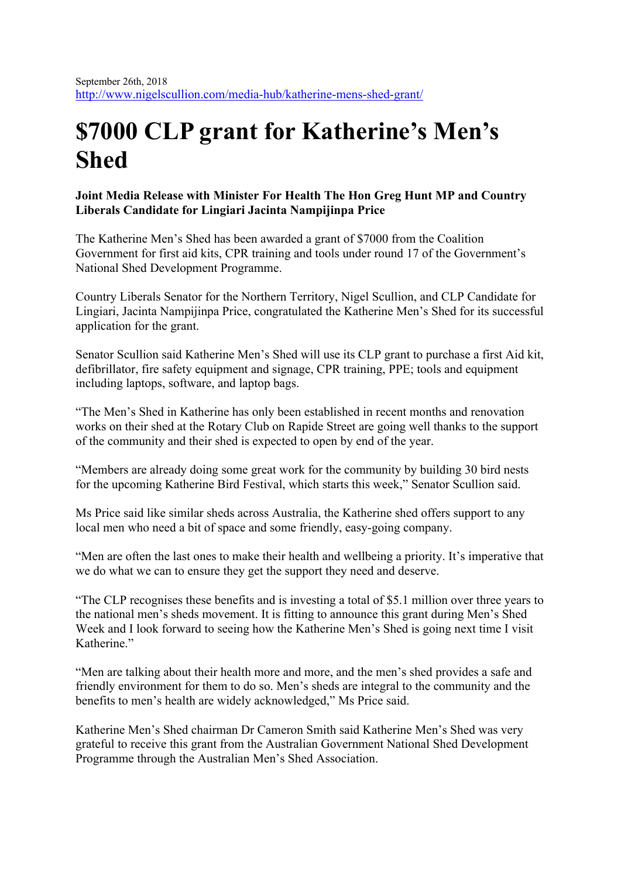## **\$7000 CLP grant for Katherine's Men's Shed**

## **Joint Media Release with Minister For Health The Hon Greg Hunt MP and Country Liberals Candidate for Lingiari Jacinta Nampijinpa Price**

The Katherine Men's Shed has been awarded a grant of \$7000 from the Coalition Government for first aid kits, CPR training and tools under round 17 of the Government's National Shed Development Programme.

Country Liberals Senator for the Northern Territory, Nigel Scullion, and CLP Candidate for Lingiari, Jacinta Nampijinpa Price, congratulated the Katherine Men's Shed for its successful application for the grant.

Senator Scullion said Katherine Men's Shed will use its CLP grant to purchase a first Aid kit, defibrillator, fire safety equipment and signage, CPR training, PPE; tools and equipment including laptops, software, and laptop bags.

"The Men's Shed in Katherine has only been established in recent months and renovation works on their shed at the Rotary Club on Rapide Street are going well thanks to the support of the community and their shed is expected to open by end of the year.

"Members are already doing some great work for the community by building 30 bird nests for the upcoming Katherine Bird Festival, which starts this week," Senator Scullion said.

Ms Price said like similar sheds across Australia, the Katherine shed offers support to any local men who need a bit of space and some friendly, easy-going company.

"Men are often the last ones to make their health and wellbeing a priority. It's imperative that we do what we can to ensure they get the support they need and deserve.

"The CLP recognises these benefits and is investing a total of \$5.1 million over three years to the national men's sheds movement. It is fitting to announce this grant during Men's Shed Week and I look forward to seeing how the Katherine Men's Shed is going next time I visit Katherine."

"Men are talking about their health more and more, and the men's shed provides a safe and friendly environment for them to do so. Men's sheds are integral to the community and the benefits to men's health are widely acknowledged," Ms Price said.

Katherine Men's Shed chairman Dr Cameron Smith said Katherine Men's Shed was very grateful to receive this grant from the Australian Government National Shed Development Programme through the Australian Men's Shed Association.